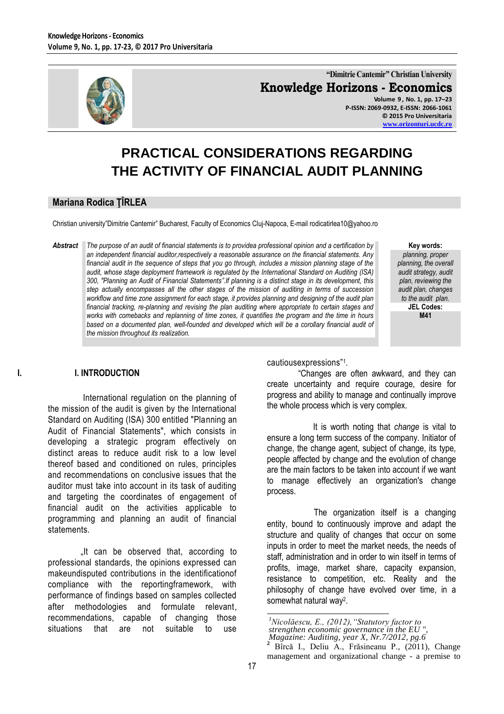

**"Dimitrie Cantemir" Christian University Knowledge Horizons - Economics Volume 9 , No. 1, pp. 17–23 P-ISSN: 2069-0932, E-ISSN: 2066-1061**

**© 2015 Pro Universitaria [www.orizonturi.ucdc.ro](http://www.orizonturi.ucdc.ro/)**

# **PRACTICAL CONSIDERATIONS REGARDING THE ACTIVITY OF FINANCIAL AUDIT PLANNING**

### **Mariana Rodica ŢÎRLEA**

Christian university"Dimitrie Cantemir" Bucharest, Faculty of Economics Cluj-Napoca, E-mail rodicatirlea10@yahoo.ro

*Abstract The purpose of an audit of financial statements is to providea professional opinion and a certification by an independent financial auditor,respectively a reasonable assurance on the financial statements. Any financial audit in the sequence of steps that you go through, includes a mission planning stage of the audit, whose stage deployment framework is regulated by the International Standard on Auditing (ISA) 300, "Planning an Audit of Financial Statements".If planning is a distinct stage in its development, this step actually encompasses all the other stages of the mission of auditing in terms of succession workflow and time zone assignment for each stage, it provides planning and designing of the audit plan financial tracking, re-planning and revising the plan auditing where appropriate to certain stages and works with comebacks and replanning of time zones, it quantifies the program and the time in hours based on a documented plan, well-founded and developed which will be a corollary financial audit of the mission throughout its realization.*

**Key words:**

*planning, proper planning, the overall audit strategy, audit plan, reviewing the audit plan, changes to the audit plan.* **JEL Codes: M41**

### **I. I. INTRODUCTION**

 International regulation on the planning of the mission of the audit is given by the International Standard on Auditing (ISA) 300 entitled "Planning an Audit of Financial Statements", which consists in developing a strategic program effectively on distinct areas to reduce audit risk to a low level thereof based and conditioned on rules, principles and recommendations on conclusive issues that the auditor must take into account in its task of auditing and targeting the coordinates of engagement of financial audit on the activities applicable to programming and planning an audit of financial statements.

"It can be observed that, according to professional standards, the opinions expressed can makeundisputed contributions in the identificationof compliance with the reportingframework, with performance of findings based on samples collected after methodologies and formulate relevant, recommendations, capable of changing those situations that are not suitable to use

cautiousexpressions"<sup>1</sup> .

 "Changes are often awkward, and they can create uncertainty and require courage, desire for progress and ability to manage and continually improve the whole process which is very complex.

 It is worth noting that *change* is vital to ensure a long term success of the company. Initiator of change, the change agent, subject of change, its type, people affected by change and the evolution of change are the main factors to be taken into account if we want to manage effectively an organization's change process.

 The organization itself is a changing entity, bound to continuously improve and adapt the structure and quality of changes that occur on some inputs in order to meet the market needs, the needs of staff, administration and in order to win itself in terms of profits, image, market share, capacity expansion, resistance to competition, etc. Reality and the philosophy of change have evolved over time, in a somewhat natural way<sup>2</sup>.

 $\overline{a}$ *<sup>1</sup>Nicolăescu, E., (2012),"Statutory factor to strengthen economic governance in the EU ", Magazine: Auditing, year X, Nr.7/2012, pg.6*

**<sup>2</sup>** Bîrcă I., Deliu A., Frăsineanu P., (2011), Change management and organizational change - a premise to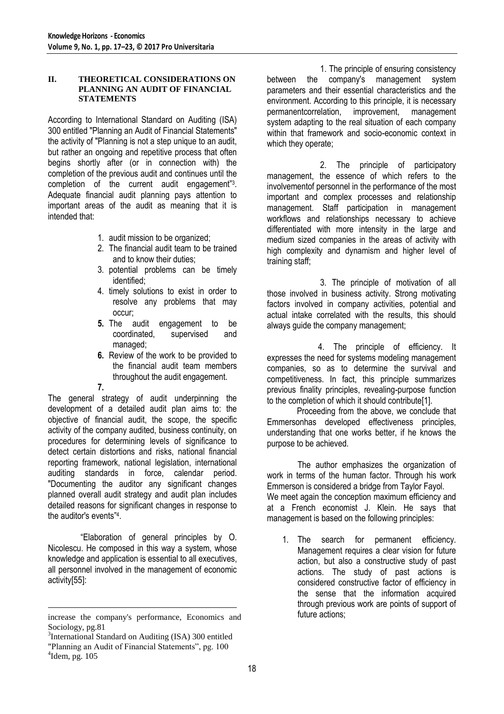### **II. THEORETICAL CONSIDERATIONS ON PLANNING AN AUDIT OF FINANCIAL STATEMENTS**

According to International Standard on Auditing (ISA) 300 entitled "Planning an Audit of Financial Statements" the activity of "Planning is not a step unique to an audit, but rather an ongoing and repetitive process that often begins shortly after (or in connection with) the completion of the previous audit and continues until the completion of the current audit engagement"<sup>3</sup> . Adequate financial audit planning pays attention to important areas of the audit as meaning that it is intended that:

- 1. audit mission to be organized;
- 2. The financial audit team to be trained and to know their duties;
- 3. potential problems can be timely identified;
- 4. timely solutions to exist in order to resolve any problems that may occur;
- **5.** The audit engagement to be coordinated, supervised and coordinated, supervised and managed;
- **6.** Review of the work to be provided to the financial audit team members throughout the audit engagement.

**7.**

The general strategy of audit underpinning the development of a detailed audit plan aims to: the objective of financial audit, the scope, the specific activity of the company audited, business continuity, on procedures for determining levels of significance to detect certain distortions and risks, national financial reporting framework, national legislation, international auditing standards in force, calendar period. "Documenting the auditor any significant changes planned overall audit strategy and audit plan includes detailed reasons for significant changes in response to the auditor's events"<sup>4</sup> .

 "Elaboration of general principles by O. Nicolescu. He composed in this way a system, whose knowledge and application is essential to all executives, all personnel involved in the management of economic activity[55]:

 1. The principle of ensuring consistency between the company's management system parameters and their essential characteristics and the environment. According to this principle, it is necessary permanentcorrelation, improvement, management system adapting to the real situation of each company within that framework and socio-economic context in which they operate;

 2. The principle of participatory management, the essence of which refers to the involvementof personnel in the performance of the most important and complex processes and relationship management. Staff participation in management workflows and relationships necessary to achieve differentiated with more intensity in the large and medium sized companies in the areas of activity with high complexity and dynamism and higher level of training staff;

 3. The principle of motivation of all those involved in business activity. Strong motivating factors involved in company activities, potential and actual intake correlated with the results, this should always guide the company management;

 4. The principle of efficiency. It expresses the need for systems modeling management companies, so as to determine the survival and competitiveness. In fact, this principle summarizes previous finality principles, revealing-purpose function to the completion of which it should contribute[1].

 Proceeding from the above, we conclude that Emmersonhas developed effectiveness principles, understanding that one works better, if he knows the purpose to be achieved.

The author emphasizes the organization of work in terms of the human factor. Through his work Emmerson is considered a bridge from Taylor Fayol. We meet again the conception maximum efficiency and at a French economist J. Klein. He says that management is based on the following principles:

1. The search for permanent efficiency. Management requires a clear vision for future action, but also a constructive study of past actions. The study of past actions is considered constructive factor of efficiency in the sense that the information acquired through previous work are points of support of future actions;

 $\overline{a}$ increase the company's performance, Economics and Sociology, pg.81

<sup>&</sup>lt;sup>3</sup>International Standard on Auditing (ISA) 300 entitled "Planning an Audit of Financial Statements", pg. 100  $4$ Idem, pg. 105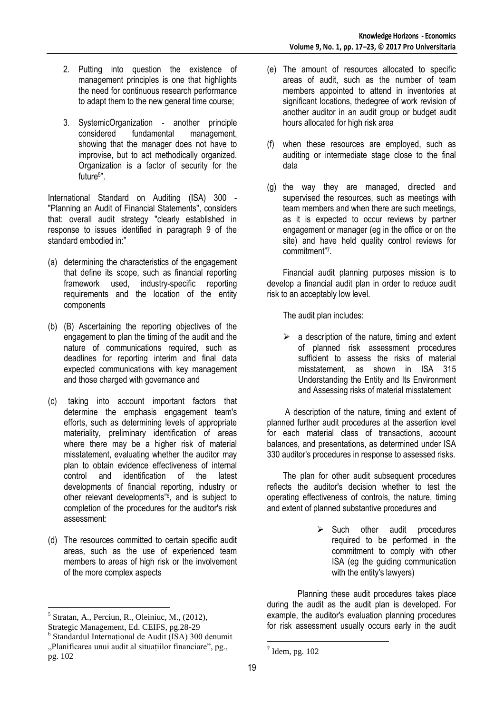- 2. Putting into question the existence of management principles is one that highlights the need for continuous research performance to adapt them to the new general time course;
- 3. SystemicOrganization another principle considered fundamental management, showing that the manager does not have to improvise, but to act methodically organized. Organization is a factor of security for the future<sup>5</sup> ".

International Standard on Auditing (ISA) 300 - "Planning an Audit of Financial Statements", considers that: overall audit strategy "clearly established in response to issues identified in paragraph 9 of the standard embodied in:"

- (a) determining the characteristics of the engagement that define its scope, such as financial reporting framework used, industry-specific reporting requirements and the location of the entity components
- (b) (B) Ascertaining the reporting objectives of the engagement to plan the timing of the audit and the nature of communications required, such as deadlines for reporting interim and final data expected communications with key management and those charged with governance and
- (c) taking into account important factors that determine the emphasis engagement team's efforts, such as determining levels of appropriate materiality, preliminary identification of areas where there may be a higher risk of material misstatement, evaluating whether the auditor may plan to obtain evidence effectiveness of internal control and identification of the latest developments of financial reporting, industry or other relevant developments"<sup>6</sup> , and is subject to completion of the procedures for the auditor's risk assessment:
- (d) The resources committed to certain specific audit areas, such as the use of experienced team members to areas of high risk or the involvement of the more complex aspects

 $\overline{a}$ 

pg. 102

- (e) The amount of resources allocated to specific areas of audit, such as the number of team members appointed to attend in inventories at significant locations, thedegree of work revision of another auditor in an audit group or budget audit hours allocated for high risk area
- (f) when these resources are employed, such as auditing or intermediate stage close to the final data
- (g) the way they are managed, directed and supervised the resources, such as meetings with team members and when there are such meetings, as it is expected to occur reviews by partner engagement or manager (eg in the office or on the site) and have held quality control reviews for commitment"<sup>7</sup> .

Financial audit planning purposes mission is to develop a financial audit plan in order to reduce audit risk to an acceptably low level.

The audit plan includes:

 $\triangleright$  a description of the nature, timing and extent of planned risk assessment procedures sufficient to assess the risks of material misstatement, as shown in ISA 315 Understanding the Entity and Its Environment and Assessing risks of material misstatement

A description of the nature, timing and extent of planned further audit procedures at the assertion level for each material class of transactions, account balances, and presentations, as determined under ISA 330 auditor's procedures in response to assessed risks.

The plan for other audit subsequent procedures reflects the auditor's decision whether to test the operating effectiveness of controls, the nature, timing and extent of planned substantive procedures and

> $\triangleright$  Such other audit procedures required to be performed in the commitment to comply with other ISA (eg the guiding communication with the entity's lawyers)

Planning these audit procedures takes place during the audit as the audit plan is developed. For example, the auditor's evaluation planning procedures for risk assessment usually occurs early in the audit

 $<sup>5</sup>$  Stratan, A., Perciun, R., Oleiniuc, M., (2012),</sup> Strategic Management, Ed. CEIFS, pg.28-29

<sup>6</sup> Standardul Internaţional de Audit (ISA) 300 denumit "Planificarea unui audit al situaţiilor financiare", pg.,

 $\overline{a}$  $<sup>7</sup>$  Idem, pg. 102</sup>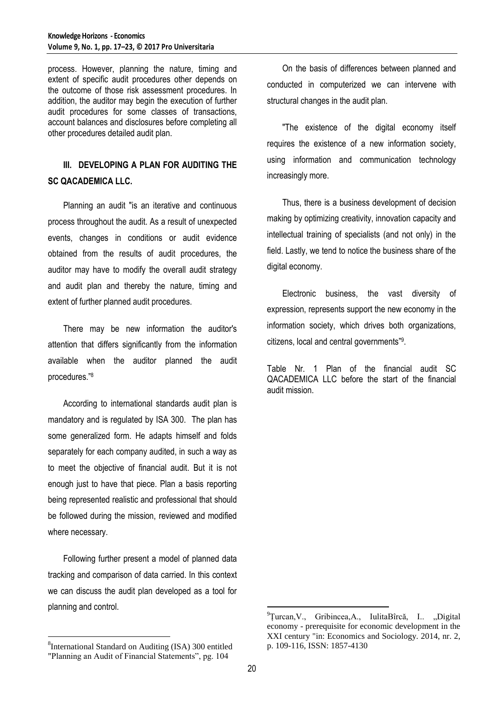process. However, planning the nature, timing and extent of specific audit procedures other depends on the outcome of those risk assessment procedures. In addition, the auditor may begin the execution of further audit procedures for some classes of transactions, account balances and disclosures before completing all other procedures detailed audit plan.

# **III. DEVELOPING A PLAN FOR AUDITING THE SC QACADEMICA LLC.**

Planning an audit "is an iterative and continuous process throughout the audit. As a result of unexpected events, changes in conditions or audit evidence obtained from the results of audit procedures, the auditor may have to modify the overall audit strategy and audit plan and thereby the nature, timing and extent of further planned audit procedures.

There may be new information the auditor's attention that differs significantly from the information available when the auditor planned the audit procedures."<sup>8</sup>

According to international standards audit plan is mandatory and is regulated by ISA 300. The plan has some generalized form. He adapts himself and folds separately for each company audited, in such a way as to meet the objective of financial audit. But it is not enough just to have that piece. Plan a basis reporting being represented realistic and professional that should be followed during the mission, reviewed and modified where necessary.

Following further present a model of planned data tracking and comparison of data carried. In this context we can discuss the audit plan developed as a tool for planning and control.

 $\overline{a}$ 

"The existence of the digital economy itself requires the existence of a new information society, using information and communication technology increasingly more.

Thus, there is a business development of decision making by optimizing creativity, innovation capacity and intellectual training of specialists (and not only) in the field. Lastly, we tend to notice the business share of the digital economy.

Electronic business, the vast diversity of expression, represents support the new economy in the information society, which drives both organizations, citizens, local and central governments"<sup>9</sup> .

Table Nr. 1 Plan of the financial audit SC QACADEMICA LLC before the start of the financial audit mission.

 $\overline{a}$ 

<sup>&</sup>lt;sup>8</sup>International Standard on Auditing (ISA) 300 entitled "Planning an Audit of Financial Statements", pg. 104

On the basis of differences between planned and conducted in computerized we can intervene with structural changes in the audit plan.

 ${}^{9}$ Turcan, V., Gribincea, A., IulitaBîrcă, I.. "Digital economy - prerequisite for economic development in the XXI century "in: Economics and Sociology. 2014, nr. 2, p. 109-116, ISSN: 1857-4130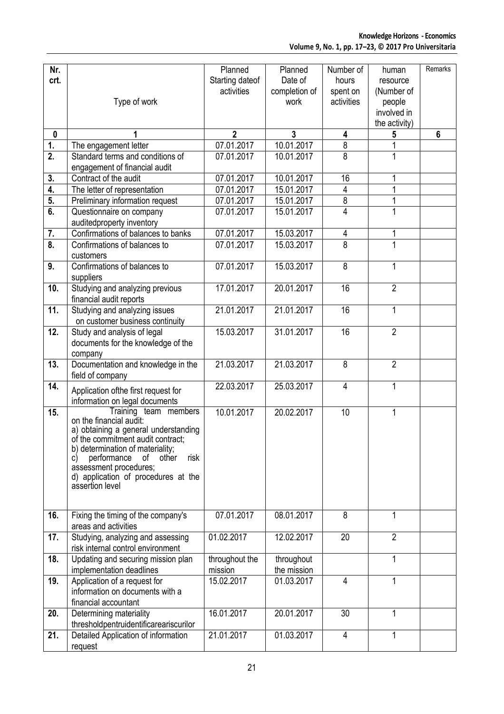| Nr.                           |                                                                        | Planned         | Planned       | Number of      | human          | Remarks        |
|-------------------------------|------------------------------------------------------------------------|-----------------|---------------|----------------|----------------|----------------|
| crt.                          |                                                                        | Starting dateof | Date of       | hours          | resource       |                |
|                               |                                                                        | activities      | completion of | spent on       | (Number of     |                |
|                               | Type of work                                                           |                 | work          | activities     | people         |                |
|                               |                                                                        |                 |               |                | involved in    |                |
|                               |                                                                        |                 |               |                | the activity)  |                |
| $\mathbf 0$                   |                                                                        | $\overline{2}$  | 3             | 4              | 5              | $6\phantom{1}$ |
| 1.<br>$\overline{2}$ .        | The engagement letter                                                  | 07.01.2017      | 10.01.2017    | $\, 8$<br>8    | 1              |                |
|                               | Standard terms and conditions of<br>engagement of financial audit      | 07.01.2017      | 10.01.2017    |                |                |                |
| 3.                            | Contract of the audit                                                  | 07.01.2017      | 10.01.2017    | 16             |                |                |
| 4.                            | The letter of representation                                           | 07.01.2017      | 15.01.2017    | 4              |                |                |
| 5.                            | Preliminary information request                                        | 07.01.2017      | 15.01.2017    | $\overline{8}$ |                |                |
| 6.                            | Questionnaire on company                                               | 07.01.2017      | 15.01.2017    | $\overline{4}$ | 1              |                |
|                               | auditedproperty inventory                                              |                 |               |                |                |                |
| 7.                            | Confirmations of balances to banks                                     | 07.01.2017      | 15.03.2017    | 4              | 1              |                |
| $\overline{\boldsymbol{8}}$ . | Confirmations of balances to                                           | 07.01.2017      | 15.03.2017    | $\overline{8}$ | 1              |                |
|                               | customers                                                              |                 |               |                |                |                |
| 9.                            | Confirmations of balances to                                           | 07.01.2017      | 15.03.2017    | 8              | $\mathbf{1}$   |                |
|                               | suppliers                                                              |                 |               |                |                |                |
| 10.                           | Studying and analyzing previous                                        | 17.01.2017      | 20.01.2017    | 16             | $\overline{2}$ |                |
|                               | financial audit reports                                                |                 |               |                |                |                |
| 11.                           | Studying and analyzing issues                                          | 21.01.2017      | 21.01.2017    | 16             | $\mathbf{1}$   |                |
| 12.                           | on customer business continuity<br>Study and analysis of legal         | 15.03.2017      | 31.01.2017    | 16             | $\overline{2}$ |                |
|                               | documents for the knowledge of the                                     |                 |               |                |                |                |
|                               | company                                                                |                 |               |                |                |                |
| 13.                           | Documentation and knowledge in the                                     | 21.03.2017      | 21.03.2017    | 8              | $\overline{2}$ |                |
|                               | field of company                                                       |                 |               |                |                |                |
| 14.                           | Application of the first request for                                   | 22.03.2017      | 25.03.2017    | $\overline{4}$ | $\mathbf{1}$   |                |
|                               | information on legal documents                                         |                 |               |                |                |                |
| 15.                           | Training team members                                                  | 10.01.2017      | 20.02.2017    | 10             | 1              |                |
|                               | on the financial audit:<br>a) obtaining a general understanding        |                 |               |                |                |                |
|                               | of the commitment audit contract:                                      |                 |               |                |                |                |
|                               | b) determination of materiality;                                       |                 |               |                |                |                |
|                               | performance<br>оf<br>other<br>risk<br>C)                               |                 |               |                |                |                |
|                               | assessment procedures;<br>d) application of procedures at the          |                 |               |                |                |                |
|                               | assertion level                                                        |                 |               |                |                |                |
|                               |                                                                        |                 |               |                |                |                |
|                               |                                                                        |                 |               |                |                |                |
| 16.                           | Fixing the timing of the company's                                     | 07.01.2017      | 08.01.2017    | 8              | 1              |                |
| 17.                           | areas and activities                                                   | 01.02.2017      | 12.02.2017    | 20             | $\overline{2}$ |                |
|                               | Studying, analyzing and assessing<br>risk internal control environment |                 |               |                |                |                |
| 18.                           | Updating and securing mission plan                                     | throughout the  | throughout    |                | $\mathbf{1}$   |                |
|                               | implementation deadlines                                               | mission         | the mission   |                |                |                |
| 19.                           | Application of a request for                                           | 15.02.2017      | 01.03.2017    | $\overline{4}$ | 1              |                |
|                               | information on documents with a                                        |                 |               |                |                |                |
|                               | financial accountant                                                   |                 |               |                |                |                |
| 20.                           | Determining materiality                                                | 16.01.2017      | 20.01.2017    | 30             | 1              |                |
|                               | thresholdpentruidentificareariscurilor                                 |                 |               |                |                |                |
| 21.                           | Detailed Application of information                                    | 21.01.2017      | 01.03.2017    | $\overline{4}$ | 1              |                |
|                               | request                                                                |                 |               |                |                |                |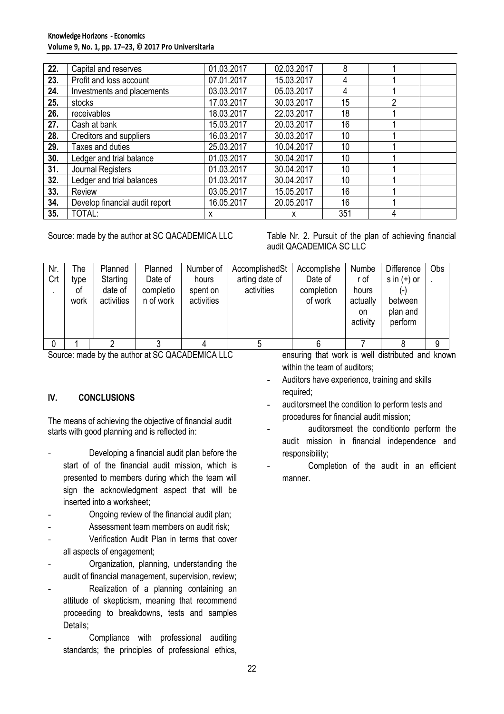### **Knowledge Horizons - Economics Volume 9, No. 1, pp. 17–23, © 2017 Pro Universitaria**

| 22. | Capital and reserves           | 01.03.2017 | 02.03.2017       | 8   |   |  |
|-----|--------------------------------|------------|------------------|-----|---|--|
| 23. | Profit and loss account        | 07.01.2017 | 15.03.2017       | 4   |   |  |
| 24. | Investments and placements     | 03.03.2017 | 05.03.2017       | 4   |   |  |
| 25. | stocks                         | 17.03.2017 | 30.03.2017       | 15  | 2 |  |
| 26. | receivables                    | 18.03.2017 | 22.03.2017       | 18  |   |  |
| 27. | Cash at bank                   | 15.03.2017 | 20.03.2017       | 16  |   |  |
| 28. | Creditors and suppliers        | 16.03.2017 | 30.03.2017       | 10  |   |  |
| 29. | Taxes and duties               | 25.03.2017 | 10.04.2017       | 10  |   |  |
| 30. | Ledger and trial balance       | 01.03.2017 | 30.04.2017<br>10 |     |   |  |
| 31. | Journal Registers              | 01.03.2017 | 30.04.2017       | 10  |   |  |
| 32. | Ledger and trial balances      | 01.03.2017 | 30.04.2017       | 10  |   |  |
| 33. | Review                         | 03.05.2017 | 16<br>15.05.2017 |     |   |  |
| 34. | Develop financial audit report | 16.05.2017 | 20.05.2017       | 16  |   |  |
| 35. | TOTAL:                         | х          | x                | 351 | 4 |  |

Source: made by the author at SC QACADEMICA LLC Table Nr. 2. Pursuit of the plan of achieving financial audit QACADEMICA SC LLC

| Nr.<br>Crt | The<br>type<br>οf<br>work | Planned<br>Starting<br>date of<br>activities | Planned<br>Date of<br>completio<br>n of work | Number of<br>hours<br>spent on<br>activities | AccomplishedSt<br>arting date of<br>activities | Accomplishe<br>Date of<br>completion<br>of work | Numbe<br>r of<br>hours<br>actually<br>on<br>activity | <b>Difference</b><br>s in $(+)$ or<br>between<br>plan and<br>perform | Obs |
|------------|---------------------------|----------------------------------------------|----------------------------------------------|----------------------------------------------|------------------------------------------------|-------------------------------------------------|------------------------------------------------------|----------------------------------------------------------------------|-----|
| $\Omega$   |                           |                                              |                                              |                                              |                                                |                                                 |                                                      |                                                                      | 9   |

Source: made by the author at SC QACADEMICA LLC

# **IV. CONCLUSIONS**

The means of achieving the objective of financial audit starts with good planning and is reflected in:

- Developing a financial audit plan before the start of of the financial audit mission, which is presented to members during which the team will sign the acknowledgment aspect that will be inserted into a worksheet;
- Ongoing review of the financial audit plan;
- Assessment team members on audit risk;
- Verification Audit Plan in terms that cover all aspects of engagement;
- Organization, planning, understanding the audit of financial management, supervision, review;
- Realization of a planning containing an attitude of skepticism, meaning that recommend proceeding to breakdowns, tests and samples Details;
- Compliance with professional auditing standards; the principles of professional ethics,

ensuring that work is well distributed and known within the team of auditors;

- Auditors have experience, training and skills required;
- auditorsmeet the condition to perform tests and procedures for financial audit mission;
- auditorsmeet the conditionto perform the audit mission in financial independence and responsibility;
- Completion of the audit in an efficient manner.